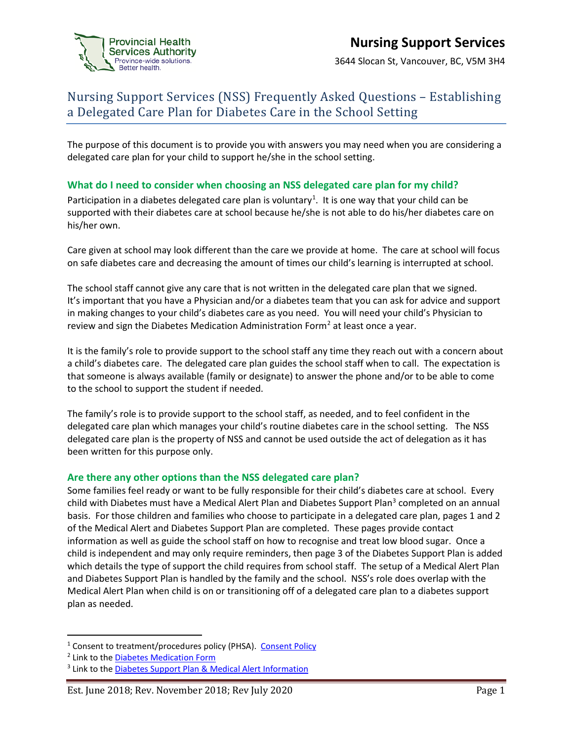

3644 Slocan St, Vancouver, BC, V5M 3H4

## Nursing Support Services (NSS) Frequently Asked Questions – Establishing a Delegated Care Plan for Diabetes Care in the School Setting

The purpose of this document is to provide you with answers you may need when you are considering a delegated care plan for your child to support he/she in the school setting.

## **What do I need to consider when choosing an NSS delegated care plan for my child?**

Participation in a diabetes delegated care plan is voluntary<sup>[1](#page-0-0)</sup>. It is one way that your child can be supported with their diabetes care at school because he/she is not able to do his/her diabetes care on his/her own.

Care given at school may look different than the care we provide at home. The care at school will focus on safe diabetes care and decreasing the amount of times our child's learning is interrupted at school.

The school staff cannot give any care that is not written in the delegated care plan that we signed. It's important that you have a Physician and/or a diabetes team that you can ask for advice and support in making changes to your child's diabetes care as you need. You will need your child's Physician to review and sign the Diabetes Medication Administration Form<sup>[2](#page-0-1)</sup> at least once a year.

It is the family's role to provide support to the school staff any time they reach out with a concern about a child's diabetes care. The delegated care plan guides the school staff when to call. The expectation is that someone is always available (family or designate) to answer the phone and/or to be able to come to the school to support the student if needed.

The family's role is to provide support to the school staff, as needed, and to feel confident in the delegated care plan which manages your child's routine diabetes care in the school setting. The NSS delegated care plan is the property of NSS and cannot be used outside the act of delegation as it has been written for this purpose only.

### **Are there any other options than the NSS delegated care plan?**

Some families feel ready or want to be fully responsible for their child's diabetes care at school. Every child with Diabetes must have a Medical Alert Plan and Diabetes Support Plan<sup>[3](#page-0-2)</sup> completed on an annual basis. For those children and families who choose to participate in a delegated care plan, pages 1 and 2 of the Medical Alert and Diabetes Support Plan are completed. These pages provide contact information as well as guide the school staff on how to recognise and treat low blood sugar. Once a child is independent and may only require reminders, then page 3 of the Diabetes Support Plan is added which details the type of support the child requires from school staff. The setup of a Medical Alert Plan and Diabetes Support Plan is handled by the family and the school. NSS's role does overlap with the Medical Alert Plan when child is on or transitioning off of a delegated care plan to a diabetes support plan as needed.

<span id="page-0-0"></span><sup>&</sup>lt;sup>1</sup> Consent to treatment/procedures policy (PHSA). [Consent Policy](http://shop.healthcarebc.ca/phsa/PHSAPOD/Quality%20Safety/Patient%20Safety/C-99-11-20534.pdf)

<span id="page-0-1"></span><sup>2</sup> Link to the [Diabetes Medication Form](http://www.bcchildrens.ca/SHHC-Your-Visit-Site/Documents/Diabetes_Medication_Administration_Form.pdf)

<span id="page-0-2"></span><sup>&</sup>lt;sup>3</sup> Link to the **Diabetes Support Plan & Medical Alert Information** 

Est. June 2018; Rev. November 2018; Rev July 2020 Page 1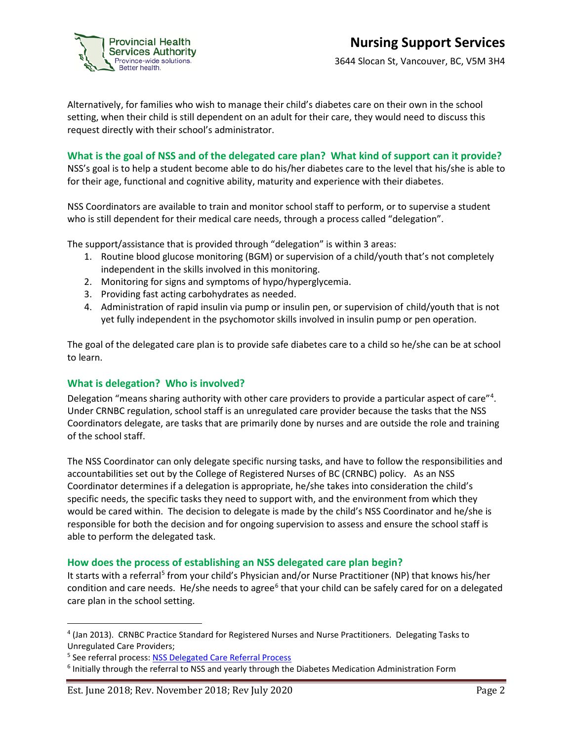

3644 Slocan St, Vancouver, BC, V5M 3H4

Alternatively, for families who wish to manage their child's diabetes care on their own in the school setting, when their child is still dependent on an adult for their care, they would need to discuss this request directly with their school's administrator.

## **What is the goal of NSS and of the delegated care plan? What kind of support can it provide?**

NSS's goal is to help a student become able to do his/her diabetes care to the level that his/she is able to for their age, functional and cognitive ability, maturity and experience with their diabetes.

NSS Coordinators are available to train and monitor school staff to perform, or to supervise a student who is still dependent for their medical care needs, through a process called "delegation".

The support/assistance that is provided through "delegation" is within 3 areas:

- 1. Routine blood glucose monitoring (BGM) or supervision of a child/youth that's not completely independent in the skills involved in this monitoring.
- 2. Monitoring for signs and symptoms of hypo/hyperglycemia.
- 3. Providing fast acting carbohydrates as needed.
- 4. Administration of rapid insulin via pump or insulin pen, or supervision of child/youth that is not yet fully independent in the psychomotor skills involved in insulin pump or pen operation.

The goal of the delegated care plan is to provide safe diabetes care to a child so he/she can be at school to learn.

### **What is delegation? Who is involved?**

Delegation "means sharing authority with other care providers to provide a particular aspect of care"<sup>[4](#page-1-0)</sup>. Under CRNBC regulation, school staff is an unregulated care provider because the tasks that the NSS Coordinators delegate, are tasks that are primarily done by nurses and are outside the role and training of the school staff.

The NSS Coordinator can only delegate specific nursing tasks, and have to follow the responsibilities and accountabilities set out by the College of Registered Nurses of BC (CRNBC) policy. As an NSS Coordinator determines if a delegation is appropriate, he/she takes into consideration the child's specific needs, the specific tasks they need to support with, and the environment from which they would be cared within. The decision to delegate is made by the child's NSS Coordinator and he/she is responsible for both the decision and for ongoing supervision to assess and ensure the school staff is able to perform the delegated task.

#### **How does the process of establishing an NSS delegated care plan begin?**

It starts with a referral<sup>[5](#page-1-1)</sup> from your child's Physician and/or Nurse Practitioner (NP) that knows his/her condition and care needs. He/she needs to agree<sup>[6](#page-1-2)</sup> that your child can be safely cared for on a delegated care plan in the school setting.

<span id="page-1-0"></span> <sup>4</sup> (Jan 2013). CRNBC Practice Standard for Registered Nurses and Nurse Practitioners. Delegating Tasks to Unregulated Care Providers;

<span id="page-1-1"></span><sup>5</sup> See referral process: [NSS Delegated Care Referral Process](http://www.bcchildrens.ca/our-services/sunny-hill-health-centre/our-services/nursing-support#Resources)

<span id="page-1-2"></span><sup>6</sup> Initially through the referral to NSS and yearly through the Diabetes Medication Administration Form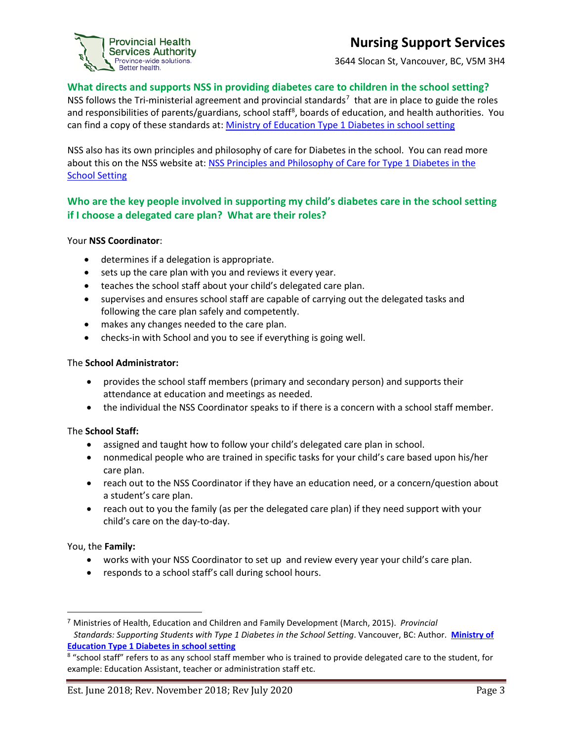## **Nursing Support Services**



## **What directs and supports NSS in providing diabetes care to children in the school setting?**

NSS follows the Tri-ministerial agreement and provincial standards<sup>[7](#page-2-0)</sup> that are in place to guide the roles and responsibilities of parents/guardians, school staff<sup>[8](#page-2-1)</sup>, boards of education, and health authorities. You can find a copy of these standards at: [Ministry of Education Type 1 Diabetes in school setting](http://www2.gov.bc.ca/gov/content/education-training/administration/kindergarten-to-grade-12/school-health/diabetes)

NSS also has its own principles and philosophy of care for Diabetes in the school. You can read more about this on the NSS website at[: NSS Principles and Philosophy of Care for](http://www.bcchildrens.ca/our-services/sunny-hill-health-centre/our-services/nursing-support#Resources) Type 1 Diabetes in the [School Setting](http://www.bcchildrens.ca/our-services/sunny-hill-health-centre/our-services/nursing-support#Resources)

## **Who are the key people involved in supporting my child's diabetes care in the school setting if I choose a delegated care plan? What are their roles?**

#### Your **NSS Coordinator**:

• determines if a delegation is appropriate.

Province-wide solutions. Better health.

- sets up the care plan with you and reviews it every year.
- teaches the school staff about your child's delegated care plan.
- supervises and ensures school staff are capable of carrying out the delegated tasks and following the care plan safely and competently.
- makes any changes needed to the care plan.
- checks-in with School and you to see if everything is going well.

#### The **School Administrator:**

- provides the school staff members (primary and secondary person) and supports their attendance at education and meetings as needed.
- the individual the NSS Coordinator speaks to if there is a concern with a school staff member.

#### The **School Staff:**

- assigned and taught how to follow your child's delegated care plan in school.
- nonmedical people who are trained in specific tasks for your child's care based upon his/her care plan.
- reach out to the NSS Coordinator if they have an education need, or a concern/question about a student's care plan.
- reach out to you the family (as per the delegated care plan) if they need support with your child's care on the day-to-day.

#### You, the **Family:**

 $\overline{\phantom{a}}$ 

- works with your NSS Coordinator to set up and review every year your child's care plan.
- responds to a school staff's call during school hours.

<span id="page-2-0"></span><sup>7</sup> Ministries of Health, Education and Children and Family Development (March, 2015). *Provincial Standards: Supporting Students with Type 1 Diabetes in the School Setting*. Vancouver, BC: Author. **[Ministry of](http://www2.gov.bc.ca/gov/content/education-training/administration/kindergarten-to-grade-12/school-health/diabetes)  [Education Type 1 Diabetes in school setting](http://www2.gov.bc.ca/gov/content/education-training/administration/kindergarten-to-grade-12/school-health/diabetes)**

<span id="page-2-1"></span><sup>&</sup>lt;sup>8</sup> "school staff" refers to as any school staff member who is trained to provide delegated care to the student, for example: Education Assistant, teacher or administration staff etc.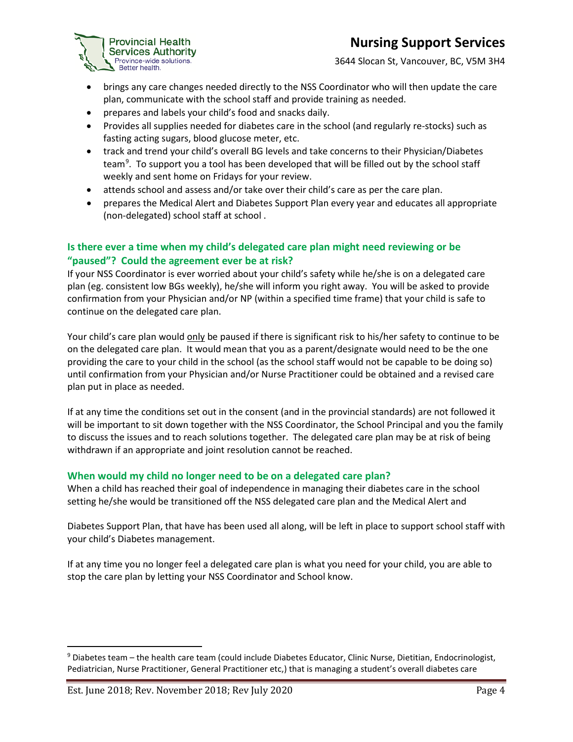## **Provincial Health Contract Contract Contract Contract Contract Contract Contract Contract Contract Contract Contract Contract Contract Contract Contract Contract Contract Contract Contract Contract Contract Contract Contr**



3644 Slocan St, Vancouver, BC, V5M 3H4

- brings any care changes needed directly to the NSS Coordinator who will then update the care plan, communicate with the school staff and provide training as needed.
- prepares and labels your child's food and snacks daily.
- Provides all supplies needed for diabetes care in the school (and regularly re-stocks) such as fasting acting sugars, blood glucose meter, etc.
- track and trend your child's overall BG levels and take concerns to their Physician/Diabetes team<sup>[9](#page-3-0)</sup>. To support you a tool has been developed that will be filled out by the school staff weekly and sent home on Fridays for your review.
- attends school and assess and/or take over their child's care as per the care plan.
- prepares the Medical Alert and Diabetes Support Plan every year and educates all appropriate (non-delegated) school staff at school .

## **Is there ever a time when my child's delegated care plan might need reviewing or be "paused"? Could the agreement ever be at risk?**

If your NSS Coordinator is ever worried about your child's safety while he/she is on a delegated care plan (eg. consistent low BGs weekly), he/she will inform you right away. You will be asked to provide confirmation from your Physician and/or NP (within a specified time frame) that your child is safe to continue on the delegated care plan.

Your child's care plan would only be paused if there is significant risk to his/her safety to continue to be on the delegated care plan. It would mean that you as a parent/designate would need to be the one providing the care to your child in the school (as the school staff would not be capable to be doing so) until confirmation from your Physician and/or Nurse Practitioner could be obtained and a revised care plan put in place as needed.

If at any time the conditions set out in the consent (and in the provincial standards) are not followed it will be important to sit down together with the NSS Coordinator, the School Principal and you the family to discuss the issues and to reach solutions together. The delegated care plan may be at risk of being withdrawn if an appropriate and joint resolution cannot be reached.

## **When would my child no longer need to be on a delegated care plan?**

When a child has reached their goal of independence in managing their diabetes care in the school setting he/she would be transitioned off the NSS delegated care plan and the Medical Alert and

Diabetes Support Plan, that have has been used all along, will be left in place to support school staff with your child's Diabetes management.

If at any time you no longer feel a delegated care plan is what you need for your child, you are able to stop the care plan by letting your NSS Coordinator and School know.

<span id="page-3-0"></span> <sup>9</sup> Diabetes team – the health care team (could include Diabetes Educator, Clinic Nurse, Dietitian, Endocrinologist, Pediatrician, Nurse Practitioner, General Practitioner etc,) that is managing a student's overall diabetes care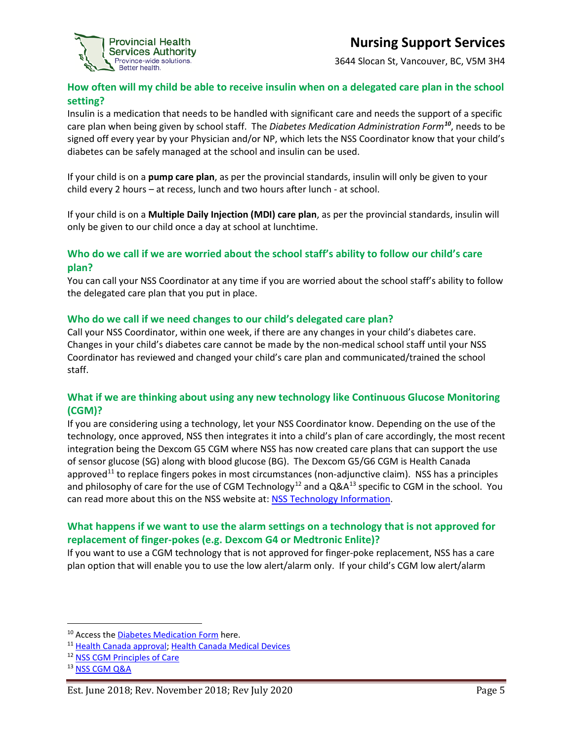

3644 Slocan St, Vancouver, BC, V5M 3H4

## **How often will my child be able to receive insulin when on a delegated care plan in the school setting?**

Insulin is a medication that needs to be handled with significant care and needs the support of a specific care plan when being given by school staff. The *Diabetes Medication Administration Form[10](#page-4-0)*, needs to be signed off every year by your Physician and/or NP, which lets the NSS Coordinator know that your child's diabetes can be safely managed at the school and insulin can be used.

If your child is on a **pump care plan**, as per the provincial standards, insulin will only be given to your child every 2 hours – at recess, lunch and two hours after lunch - at school.

If your child is on a **Multiple Daily Injection (MDI) care plan**, as per the provincial standards, insulin will only be given to our child once a day at school at lunchtime.

## **Who do we call if we are worried about the school staff's ability to follow our child's care plan?**

You can call your NSS Coordinator at any time if you are worried about the school staff's ability to follow the delegated care plan that you put in place.

### **Who do we call if we need changes to our child's delegated care plan?**

Call your NSS Coordinator, within one week, if there are any changes in your child's diabetes care. Changes in your child's diabetes care cannot be made by the non-medical school staff until your NSS Coordinator has reviewed and changed your child's care plan and communicated/trained the school staff.

## **What if we are thinking about using any new technology like Continuous Glucose Monitoring (CGM)?**

If you are considering using a technology, let your NSS Coordinator know. Depending on the use of the technology, once approved, NSS then integrates it into a child's plan of care accordingly, the most recent integration being the Dexcom G5 CGM where NSS has now created care plans that can support the use of sensor glucose (SG) along with blood glucose (BG). The Dexcom G5/G6 CGM is Health Canada approved<sup>[11](#page-4-1)</sup> to replace fingers pokes in most circumstances (non-adjunctive claim). NSS has a principles and philosophy of care for the use of CGM Technology<sup>[12](#page-4-2)</sup> and a  $QA^{13}$  $QA^{13}$  $QA^{13}$  specific to CGM in the school. You can read more about this on the NSS website at: [NSS Technology Information.](http://www.bcchildrens.ca/our-services/sunny-hill-health-centre/our-services/nursing-support)

## **What happens if we want to use the alarm settings on a technology that is not approved for replacement of finger-pokes (e.g. Dexcom G4 or Medtronic Enlite)?**

If you want to use a CGM technology that is not approved for finger-poke replacement, NSS has a care plan option that will enable you to use the low alert/alarm only. If your child's CGM low alert/alarm

<span id="page-4-0"></span><sup>&</sup>lt;sup>10</sup> Access the [Diabetes Medication Form](http://www.bcchildrens.ca/SHHC-Your-Visit-Site/Documents/Diabetes_Medication_Administration_Form.pdf) here.

<span id="page-4-1"></span><sup>11</sup> [Health Canada approval;](https://www.canada.ca/en/health-canada/services/drug-health-product-review-approval.html) [Health Canada Medical Devices](https://www.canada.ca/en/health-canada/services/drugs-health-products/medical-devices.html)

<span id="page-4-2"></span><sup>12</sup> [NSS CGM Principles of Care](http://www.bcchildrens.ca/SHHC-Inpatient-Services-site/Documents/NSS%20Principles%20and%20Philosophy%20of%20Care%20for%20Type%201%20Diabetes%20Delegated%20Care%20Plan%20in%20the%20School%20Setting%20Using%20CGM%20Technology.pdf)

<span id="page-4-3"></span><sup>&</sup>lt;sup>13</sup> [NSS CGM Q&A](http://www.bcchildrens.ca/SHHC-Inpatient-Services-site/Documents/CGM%20QA%202018.pdf)